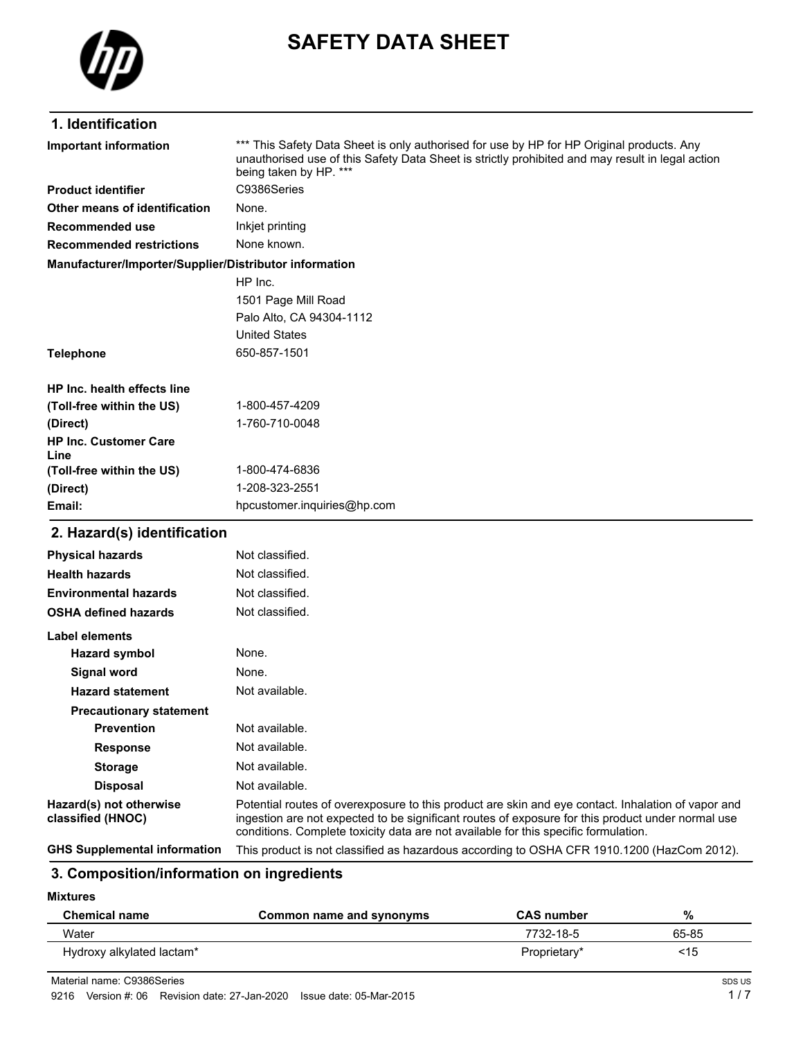

# **SAFETY DATA SHEET**

#### **1. Identification**

| *** This Safety Data Sheet is only authorised for use by HP for HP Original products. Any<br>Important information<br>unauthorised use of this Safety Data Sheet is strictly prohibited and may result in legal action<br>being taken by HP. *** |                             |  |
|--------------------------------------------------------------------------------------------------------------------------------------------------------------------------------------------------------------------------------------------------|-----------------------------|--|
| <b>Product identifier</b>                                                                                                                                                                                                                        | C9386Series                 |  |
| Other means of identification                                                                                                                                                                                                                    | None.                       |  |
| Recommended use                                                                                                                                                                                                                                  | Inkjet printing             |  |
| <b>Recommended restrictions</b>                                                                                                                                                                                                                  | None known.                 |  |
| Manufacturer/Importer/Supplier/Distributor information                                                                                                                                                                                           |                             |  |
|                                                                                                                                                                                                                                                  | HP Inc.                     |  |
|                                                                                                                                                                                                                                                  | 1501 Page Mill Road         |  |
|                                                                                                                                                                                                                                                  | Palo Alto, CA 94304-1112    |  |
|                                                                                                                                                                                                                                                  | <b>United States</b>        |  |
| 650-857-1501<br><b>Telephone</b>                                                                                                                                                                                                                 |                             |  |
| HP Inc. health effects line                                                                                                                                                                                                                      |                             |  |
| 1-800-457-4209<br>(Toll-free within the US)                                                                                                                                                                                                      |                             |  |
| 1-760-710-0048<br>(Direct)                                                                                                                                                                                                                       |                             |  |
| <b>HP Inc. Customer Care</b><br>Line                                                                                                                                                                                                             |                             |  |
| (Toll-free within the US)                                                                                                                                                                                                                        | 1-800-474-6836              |  |
| (Direct)                                                                                                                                                                                                                                         | 1-208-323-2551              |  |
| Email:                                                                                                                                                                                                                                           | hpcustomer.inquiries@hp.com |  |
| 2. Hazard(s) identification                                                                                                                                                                                                                      |                             |  |
| <b>Physical hazards</b>                                                                                                                                                                                                                          | Not classified.             |  |
| Not classified.<br><b>Health hazards</b>                                                                                                                                                                                                         |                             |  |
| Not classified.<br><b>Environmental hazards</b>                                                                                                                                                                                                  |                             |  |
| <b>OSHA defined hazards</b>                                                                                                                                                                                                                      | Not classified.             |  |
| <b>Label elements</b>                                                                                                                                                                                                                            |                             |  |
| <b>Hazard symbol</b>                                                                                                                                                                                                                             | None.                       |  |
| <b>Signal word</b>                                                                                                                                                                                                                               | None.                       |  |
| <b>Hazard statement</b>                                                                                                                                                                                                                          | Not available.              |  |

#### **3. Composition/information on ingredients**

**Prevention** Not available. **Response** Not available. **Storage** Not available. **Disposal** Not available.

**Mixtures**

| <b>Chemical name</b>      | Common name and synonyms | <b>CAS</b> number | %     |
|---------------------------|--------------------------|-------------------|-------|
| Water                     |                          | 7732-18-5         | 65-85 |
| Hydroxy alkylated lactam* |                          | Proprietary*      | <15   |

**GHS Supplemental information** This product is not classified as hazardous according to OSHA CFR 1910.1200 (HazCom 2012).

Potential routes of overexposure to this product are skin and eye contact. Inhalation of vapor and ingestion are not expected to be significant routes of exposure for this product under normal use

conditions. Complete toxicity data are not available for this specific formulation.

**Hazard(s) not otherwise classified (HNOC)**

**Precautionary statement**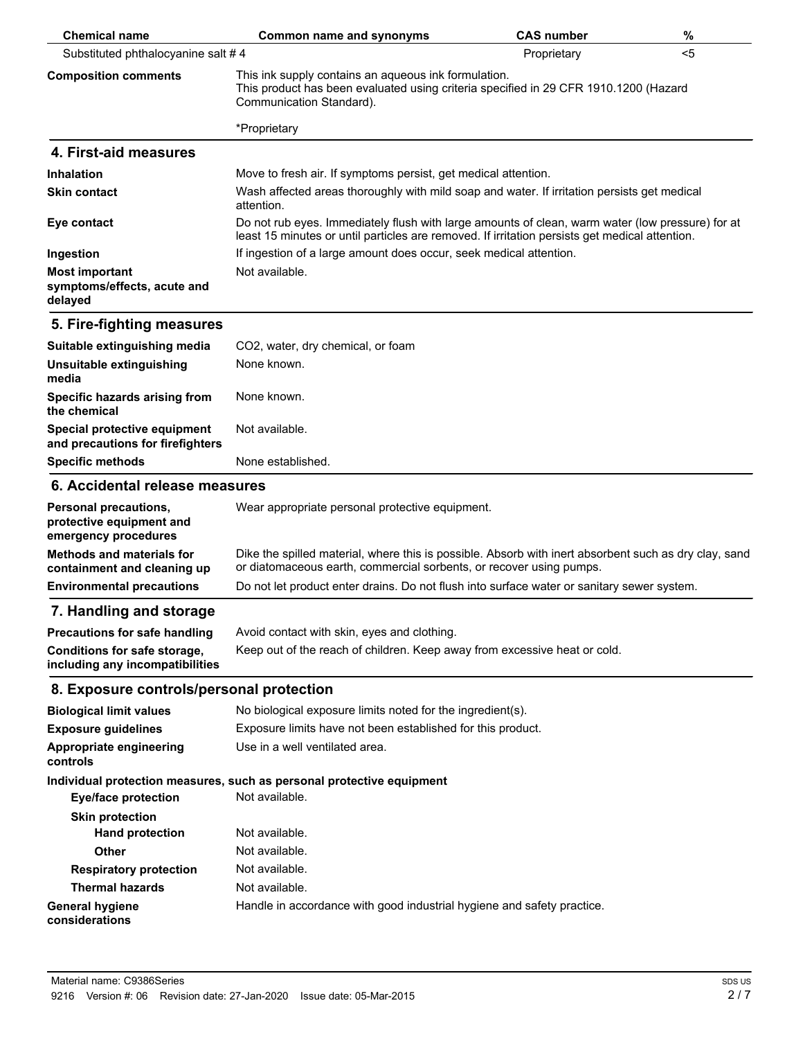| <b>Chemical name</b>                                                      | <b>Common name and synonyms</b>                                                                                                                                                                    | <b>CAS number</b> | %  |
|---------------------------------------------------------------------------|----------------------------------------------------------------------------------------------------------------------------------------------------------------------------------------------------|-------------------|----|
| Substituted phthalocyanine salt #4                                        |                                                                                                                                                                                                    | Proprietary       | <5 |
| <b>Composition comments</b>                                               | This ink supply contains an aqueous ink formulation.<br>This product has been evaluated using criteria specified in 29 CFR 1910.1200 (Hazard<br>Communication Standard).                           |                   |    |
|                                                                           | *Proprietary                                                                                                                                                                                       |                   |    |
| 4. First-aid measures                                                     |                                                                                                                                                                                                    |                   |    |
| <b>Inhalation</b>                                                         | Move to fresh air. If symptoms persist, get medical attention.                                                                                                                                     |                   |    |
| <b>Skin contact</b>                                                       | Wash affected areas thoroughly with mild soap and water. If irritation persists get medical<br>attention.                                                                                          |                   |    |
| Eye contact                                                               | Do not rub eyes. Immediately flush with large amounts of clean, warm water (low pressure) for at<br>least 15 minutes or until particles are removed. If irritation persists get medical attention. |                   |    |
| Ingestion                                                                 | If ingestion of a large amount does occur, seek medical attention.                                                                                                                                 |                   |    |
| <b>Most important</b><br>symptoms/effects, acute and<br>delayed           | Not available.                                                                                                                                                                                     |                   |    |
| 5. Fire-fighting measures                                                 |                                                                                                                                                                                                    |                   |    |
| Suitable extinguishing media                                              | CO2, water, dry chemical, or foam                                                                                                                                                                  |                   |    |
| Unsuitable extinguishing<br>media                                         | None known.                                                                                                                                                                                        |                   |    |
| Specific hazards arising from<br>the chemical                             | None known.                                                                                                                                                                                        |                   |    |
| Special protective equipment<br>and precautions for firefighters          | Not available.                                                                                                                                                                                     |                   |    |
| <b>Specific methods</b>                                                   | None established.                                                                                                                                                                                  |                   |    |
| 6. Accidental release measures                                            |                                                                                                                                                                                                    |                   |    |
| Personal precautions,<br>protective equipment and<br>emergency procedures | Wear appropriate personal protective equipment.                                                                                                                                                    |                   |    |
| <b>Methods and materials for</b><br>containment and cleaning up           | Dike the spilled material, where this is possible. Absorb with inert absorbent such as dry clay, sand<br>or diatomaceous earth, commercial sorbents, or recover using pumps.                       |                   |    |
| <b>Environmental precautions</b>                                          | Do not let product enter drains. Do not flush into surface water or sanitary sewer system.                                                                                                         |                   |    |
| 7. Handling and storage                                                   |                                                                                                                                                                                                    |                   |    |
| <b>Precautions for safe handling</b>                                      | Avoid contact with skin, eyes and clothing.                                                                                                                                                        |                   |    |
| Conditions for safe storage,<br>including any incompatibilities           | Keep out of the reach of children. Keep away from excessive heat or cold.                                                                                                                          |                   |    |
| 8. Exposure controls/personal protection                                  |                                                                                                                                                                                                    |                   |    |
| <b>Biological limit values</b>                                            | No biological exposure limits noted for the ingredient(s).                                                                                                                                         |                   |    |
| <b>Exposure guidelines</b>                                                | Exposure limits have not been established for this product.                                                                                                                                        |                   |    |
| Appropriate engineering<br>controls                                       | Use in a well ventilated area.                                                                                                                                                                     |                   |    |
|                                                                           | Individual protection measures, such as personal protective equipment                                                                                                                              |                   |    |
| <b>Eye/face protection</b>                                                | Not available.                                                                                                                                                                                     |                   |    |
| <b>Skin protection</b>                                                    |                                                                                                                                                                                                    |                   |    |
| <b>Hand protection</b>                                                    | Not available.                                                                                                                                                                                     |                   |    |
| Other                                                                     | Not available.                                                                                                                                                                                     |                   |    |
| <b>Respiratory protection</b>                                             | Not available.                                                                                                                                                                                     |                   |    |
| <b>Thermal hazards</b>                                                    | Not available.                                                                                                                                                                                     |                   |    |
| <b>General hygiene</b><br>considerations                                  | Handle in accordance with good industrial hygiene and safety practice.                                                                                                                             |                   |    |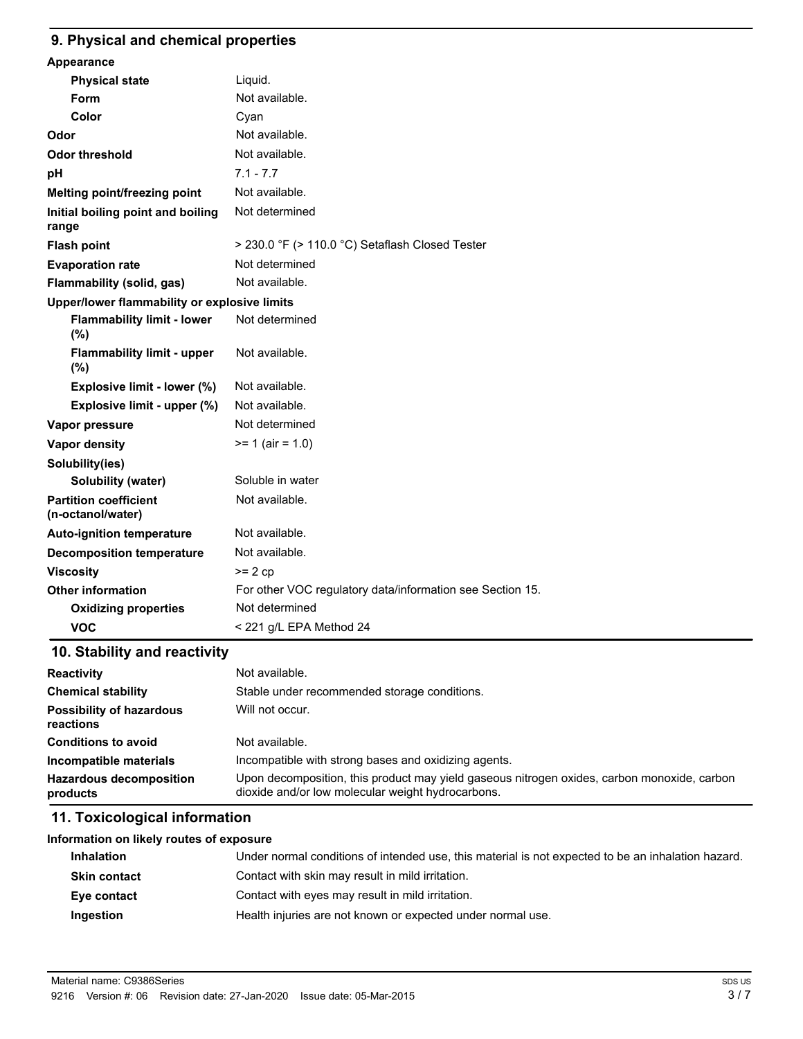#### **9. Physical and chemical properties**

| Appearance                                        |                                                           |
|---------------------------------------------------|-----------------------------------------------------------|
| <b>Physical state</b>                             | Liquid.                                                   |
| <b>Form</b>                                       | Not available.                                            |
| Color                                             | Cyan                                                      |
| Odor                                              | Not available.                                            |
| <b>Odor threshold</b>                             | Not available.                                            |
| pH                                                | $7.1 - 7.7$                                               |
| Melting point/freezing point                      | Not available.                                            |
| Initial boiling point and boiling<br>range        | Not determined                                            |
| <b>Flash point</b>                                | > 230.0 °F (> 110.0 °C) Setaflash Closed Tester           |
| <b>Evaporation rate</b>                           | Not determined                                            |
| Flammability (solid, gas)                         | Not available.                                            |
| Upper/lower flammability or explosive limits      |                                                           |
| <b>Flammability limit - lower</b><br>(%)          | Not determined                                            |
| <b>Flammability limit - upper</b><br>(%)          | Not available.                                            |
| Explosive limit - lower (%)                       | Not available.                                            |
| Explosive limit - upper (%)                       | Not available.                                            |
| Vapor pressure                                    | Not determined                                            |
| <b>Vapor density</b>                              | $>= 1$ (air = 1.0)                                        |
| Solubility(ies)                                   |                                                           |
| Solubility (water)                                | Soluble in water                                          |
| <b>Partition coefficient</b><br>(n-octanol/water) | Not available.                                            |
| <b>Auto-ignition temperature</b>                  | Not available.                                            |
| <b>Decomposition temperature</b>                  | Not available.                                            |
| <b>Viscosity</b>                                  | $>= 2 cp$                                                 |
| <b>Other information</b>                          | For other VOC regulatory data/information see Section 15. |
| <b>Oxidizing properties</b>                       | Not determined                                            |
| <b>VOC</b>                                        | < 221 g/L EPA Method 24                                   |

# **10. Stability and reactivity**

| <b>Reactivity</b>                            | Not available.                                                                                                                                   |  |
|----------------------------------------------|--------------------------------------------------------------------------------------------------------------------------------------------------|--|
| <b>Chemical stability</b>                    | Stable under recommended storage conditions.                                                                                                     |  |
| <b>Possibility of hazardous</b><br>reactions | Will not occur.                                                                                                                                  |  |
| <b>Conditions to avoid</b>                   | Not available.                                                                                                                                   |  |
| Incompatible materials                       | Incompatible with strong bases and oxidizing agents.                                                                                             |  |
| <b>Hazardous decomposition</b><br>products   | Upon decomposition, this product may yield gaseous nitrogen oxides, carbon monoxide, carbon<br>dioxide and/or low molecular weight hydrocarbons. |  |

# **11. Toxicological information**

| Information on likely routes of exposure                                                                                |                                                             |
|-------------------------------------------------------------------------------------------------------------------------|-------------------------------------------------------------|
| Under normal conditions of intended use, this material is not expected to be an inhalation hazard.<br><b>Inhalation</b> |                                                             |
| Contact with skin may result in mild irritation.<br><b>Skin contact</b>                                                 |                                                             |
| Eye contact                                                                                                             | Contact with eyes may result in mild irritation.            |
| Ingestion                                                                                                               | Health injuries are not known or expected under normal use. |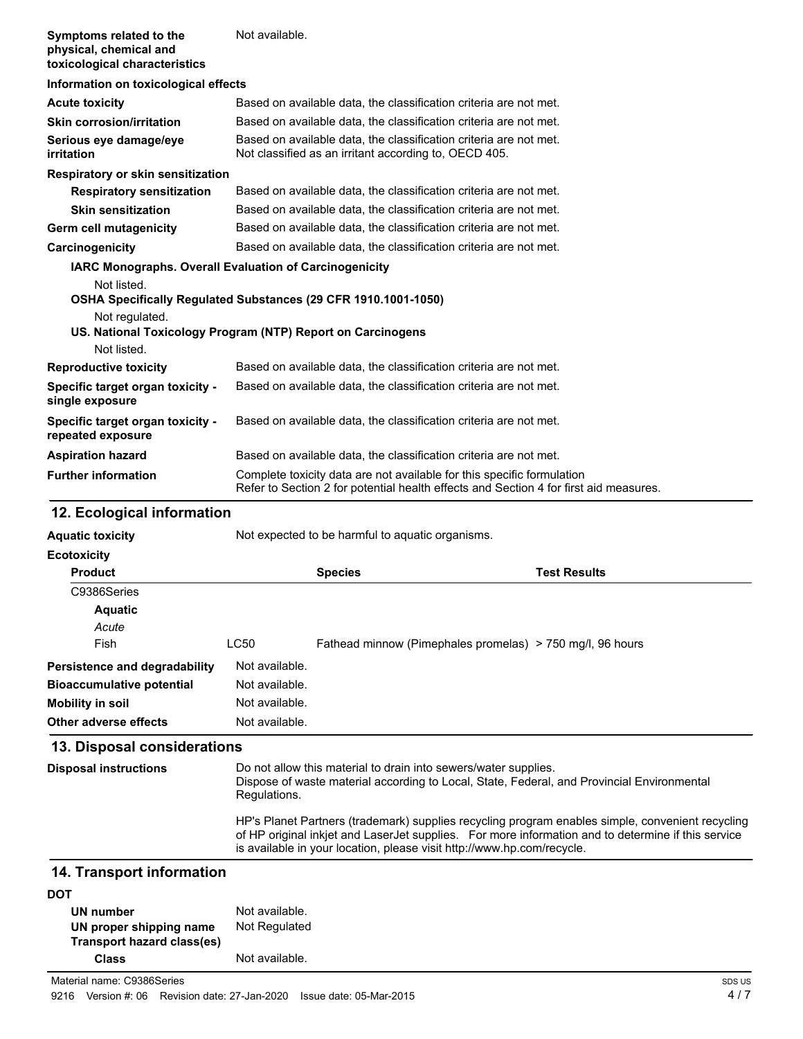| Symptoms related to the<br>physical, chemical and<br>toxicological characteristics | Not available.                                                                                                             |  |
|------------------------------------------------------------------------------------|----------------------------------------------------------------------------------------------------------------------------|--|
| Information on toxicological effects                                               |                                                                                                                            |  |
| <b>Acute toxicity</b>                                                              | Based on available data, the classification criteria are not met.                                                          |  |
| <b>Skin corrosion/irritation</b>                                                   | Based on available data, the classification criteria are not met.                                                          |  |
| Serious eye damage/eye<br>irritation                                               | Based on available data, the classification criteria are not met.<br>Not classified as an irritant according to, OECD 405. |  |
| Respiratory or skin sensitization                                                  |                                                                                                                            |  |
| <b>Respiratory sensitization</b>                                                   | Based on available data, the classification criteria are not met.                                                          |  |
| <b>Skin sensitization</b>                                                          | Based on available data, the classification criteria are not met.                                                          |  |
| <b>Germ cell mutagenicity</b>                                                      | Based on available data, the classification criteria are not met.                                                          |  |
| Carcinogenicity                                                                    | Based on available data, the classification criteria are not met.                                                          |  |
| <b>IARC Monographs. Overall Evaluation of Carcinogenicity</b>                      |                                                                                                                            |  |
| Not listed.                                                                        |                                                                                                                            |  |
|                                                                                    | OSHA Specifically Regulated Substances (29 CFR 1910.1001-1050)                                                             |  |
| Not regulated.                                                                     |                                                                                                                            |  |
|                                                                                    | US. National Toxicology Program (NTP) Report on Carcinogens                                                                |  |
| Not listed.                                                                        |                                                                                                                            |  |
| <b>Reproductive toxicity</b>                                                       | Based on available data, the classification criteria are not met.                                                          |  |
| Specific target organ toxicity -<br>single exposure                                | Based on available data, the classification criteria are not met.                                                          |  |
| Specific target organ toxicity -<br>repeated exposure                              | Based on available data, the classification criteria are not met.                                                          |  |
| <b>Aspiration hazard</b>                                                           | Based on available data, the classification criteria are not met.                                                          |  |
| <b>Further information</b>                                                         | Complete toxicity data are not available for this specific formulation                                                     |  |

## **12. Ecological information**

| <b>Aquatic toxicity</b>          |                | Not expected to be harmful to aguatic organisms.          |                     |
|----------------------------------|----------------|-----------------------------------------------------------|---------------------|
| <b>Ecotoxicity</b>               |                |                                                           |                     |
| <b>Product</b>                   |                | <b>Species</b>                                            | <b>Test Results</b> |
| C9386Series                      |                |                                                           |                     |
| <b>Aquatic</b>                   |                |                                                           |                     |
| Acute                            |                |                                                           |                     |
| Fish                             | LC50           | Fathead minnow (Pimephales promelas) > 750 mg/l, 96 hours |                     |
| Persistence and degradability    | Not available. |                                                           |                     |
| <b>Bioaccumulative potential</b> | Not available. |                                                           |                     |
| Mobility in soil                 | Not available. |                                                           |                     |
| Other adverse effects            | Not available. |                                                           |                     |

Refer to Section 2 for potential health effects and Section 4 for first aid measures.

### **13. Disposal considerations**

| <b>Disposal instructions</b> | Do not allow this material to drain into sewers/water supplies.<br>Dispose of waste material according to Local, State, Federal, and Provincial Environmental<br>Regulations.                                                                                                    |
|------------------------------|----------------------------------------------------------------------------------------------------------------------------------------------------------------------------------------------------------------------------------------------------------------------------------|
|                              | HP's Planet Partners (trademark) supplies recycling program enables simple, convenient recycling<br>of HP original inkjet and LaserJet supplies. For more information and to determine if this service<br>is available in your location, please visit http://www.hp.com/recycle. |
|                              |                                                                                                                                                                                                                                                                                  |

### **14. Transport information**

| <b>DOT</b>                 |                |
|----------------------------|----------------|
| UN number                  | Not available. |
| UN proper shipping name    | Not Regulated  |
| Transport hazard class(es) |                |
| Class                      | Not available. |

Material name: C9386Series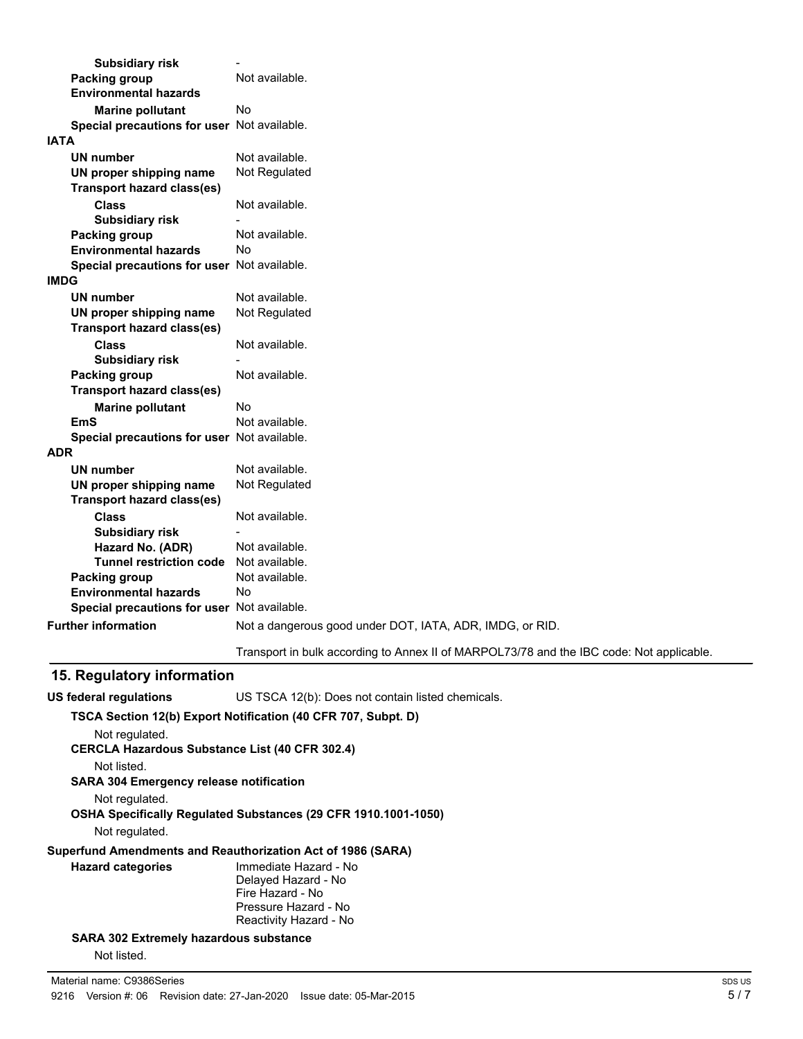|             | <b>Subsidiary risk</b>                      |                                                                                          |
|-------------|---------------------------------------------|------------------------------------------------------------------------------------------|
|             | <b>Packing group</b>                        | Not available.                                                                           |
|             | <b>Environmental hazards</b>                |                                                                                          |
|             | <b>Marine pollutant</b>                     | No                                                                                       |
|             | Special precautions for user Not available. |                                                                                          |
| <b>IATA</b> |                                             |                                                                                          |
|             | UN number                                   | Not available.                                                                           |
|             | UN proper shipping name                     | Not Regulated                                                                            |
|             | <b>Transport hazard class(es)</b>           |                                                                                          |
|             | <b>Class</b>                                | Not available.                                                                           |
|             | <b>Subsidiary risk</b>                      |                                                                                          |
|             | <b>Packing group</b>                        | Not available.                                                                           |
|             | <b>Environmental hazards</b>                | No                                                                                       |
|             | Special precautions for user Not available. |                                                                                          |
| <b>IMDG</b> |                                             |                                                                                          |
|             | <b>UN number</b>                            | Not available.                                                                           |
|             | UN proper shipping name                     | Not Regulated                                                                            |
|             | <b>Transport hazard class(es)</b>           |                                                                                          |
|             | <b>Class</b>                                | Not available.                                                                           |
|             | <b>Subsidiary risk</b>                      |                                                                                          |
|             | <b>Packing group</b>                        | Not available.                                                                           |
|             | <b>Transport hazard class(es)</b>           |                                                                                          |
|             | <b>Marine pollutant</b>                     | No                                                                                       |
|             | <b>EmS</b>                                  | Not available.                                                                           |
|             | Special precautions for user Not available. |                                                                                          |
| <b>ADR</b>  |                                             |                                                                                          |
|             | UN number                                   | Not available.                                                                           |
|             | UN proper shipping name                     | Not Regulated                                                                            |
|             | <b>Transport hazard class(es)</b>           |                                                                                          |
|             | <b>Class</b>                                | Not available.                                                                           |
|             | <b>Subsidiary risk</b>                      |                                                                                          |
|             | Hazard No. (ADR)                            | Not available.                                                                           |
|             | <b>Tunnel restriction code</b>              | Not available.                                                                           |
|             | Packing group                               | Not available.                                                                           |
|             | <b>Environmental hazards</b>                | No                                                                                       |
|             | Special precautions for user Not available. |                                                                                          |
|             | <b>Further information</b>                  | Not a dangerous good under DOT, IATA, ADR, IMDG, or RID.                                 |
|             |                                             | Transport in bulk according to Annex II of MARPOL73/78 and the IBC code: Not applicable. |
|             |                                             |                                                                                          |

# **15. Regulatory information**

| <b>US federal regulations</b>                                                           | US TSCA 12(b): Does not contain listed chemicals.                                                                  |  |
|-----------------------------------------------------------------------------------------|--------------------------------------------------------------------------------------------------------------------|--|
|                                                                                         | TSCA Section 12(b) Export Notification (40 CFR 707, Subpt. D)                                                      |  |
| Not regulated.<br><b>CERCLA Hazardous Substance List (40 CFR 302.4)</b>                 |                                                                                                                    |  |
| Not listed.                                                                             |                                                                                                                    |  |
| <b>SARA 304 Emergency release notification</b>                                          |                                                                                                                    |  |
| Not regulated.<br><b>OSHA Specifically Requiated Substances (29 CFR 1910.1001-1050)</b> |                                                                                                                    |  |
| Not regulated.                                                                          |                                                                                                                    |  |
|                                                                                         | Superfund Amendments and Reauthorization Act of 1986 (SARA)                                                        |  |
| <b>Hazard categories</b>                                                                | Immediate Hazard - No<br>Delayed Hazard - No<br>Fire Hazard - No<br>Pressure Hazard - No<br>Reactivity Hazard - No |  |
| <b>SARA 302 Extremely hazardous substance</b>                                           |                                                                                                                    |  |

Not listed.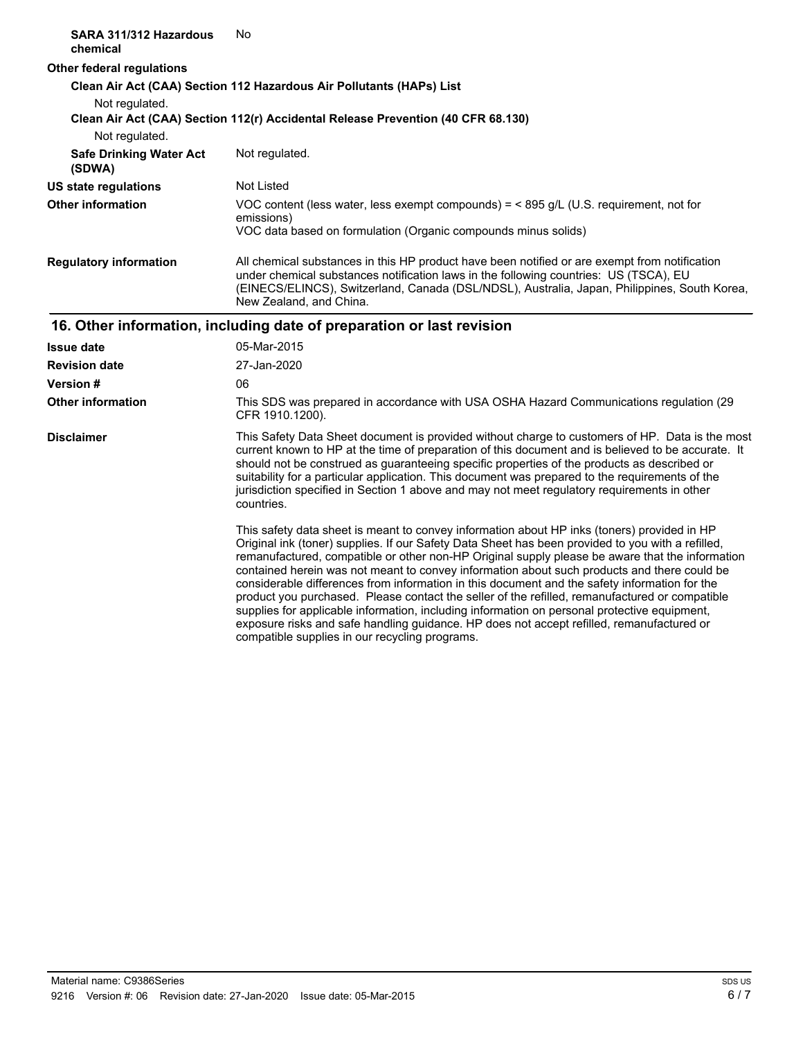| SARA 311/312 Hazardous<br>chemical       | No                                                                                                                                                                                                                                                                                                                                                                                                                                                                                                                                                                                                                                                                                                                                                                                                                                                   |
|------------------------------------------|------------------------------------------------------------------------------------------------------------------------------------------------------------------------------------------------------------------------------------------------------------------------------------------------------------------------------------------------------------------------------------------------------------------------------------------------------------------------------------------------------------------------------------------------------------------------------------------------------------------------------------------------------------------------------------------------------------------------------------------------------------------------------------------------------------------------------------------------------|
| <b>Other federal regulations</b>         |                                                                                                                                                                                                                                                                                                                                                                                                                                                                                                                                                                                                                                                                                                                                                                                                                                                      |
| Not regulated.                           | Clean Air Act (CAA) Section 112 Hazardous Air Pollutants (HAPs) List<br>Clean Air Act (CAA) Section 112(r) Accidental Release Prevention (40 CFR 68.130)                                                                                                                                                                                                                                                                                                                                                                                                                                                                                                                                                                                                                                                                                             |
| Not regulated.                           |                                                                                                                                                                                                                                                                                                                                                                                                                                                                                                                                                                                                                                                                                                                                                                                                                                                      |
| <b>Safe Drinking Water Act</b><br>(SDWA) | Not regulated.                                                                                                                                                                                                                                                                                                                                                                                                                                                                                                                                                                                                                                                                                                                                                                                                                                       |
| <b>US state regulations</b>              | Not Listed                                                                                                                                                                                                                                                                                                                                                                                                                                                                                                                                                                                                                                                                                                                                                                                                                                           |
| <b>Other information</b>                 | VOC content (less water, less exempt compounds) = $<$ 895 g/L (U.S. requirement, not for<br>emissions)<br>VOC data based on formulation (Organic compounds minus solids)                                                                                                                                                                                                                                                                                                                                                                                                                                                                                                                                                                                                                                                                             |
| <b>Regulatory information</b>            | All chemical substances in this HP product have been notified or are exempt from notification<br>under chemical substances notification laws in the following countries: US (TSCA), EU<br>(EINECS/ELINCS), Switzerland, Canada (DSL/NDSL), Australia, Japan, Philippines, South Korea,<br>New Zealand, and China.                                                                                                                                                                                                                                                                                                                                                                                                                                                                                                                                    |
|                                          | 16. Other information, including date of preparation or last revision                                                                                                                                                                                                                                                                                                                                                                                                                                                                                                                                                                                                                                                                                                                                                                                |
| <b>Issue date</b>                        | 05-Mar-2015                                                                                                                                                                                                                                                                                                                                                                                                                                                                                                                                                                                                                                                                                                                                                                                                                                          |
| <b>Revision date</b>                     | 27-Jan-2020                                                                                                                                                                                                                                                                                                                                                                                                                                                                                                                                                                                                                                                                                                                                                                                                                                          |
| <b>Version#</b>                          | 06                                                                                                                                                                                                                                                                                                                                                                                                                                                                                                                                                                                                                                                                                                                                                                                                                                                   |
| <b>Other information</b>                 | This SDS was prepared in accordance with USA OSHA Hazard Communications regulation (29<br>CFR 1910.1200).                                                                                                                                                                                                                                                                                                                                                                                                                                                                                                                                                                                                                                                                                                                                            |
| <b>Disclaimer</b>                        | This Safety Data Sheet document is provided without charge to customers of HP. Data is the most<br>current known to HP at the time of preparation of this document and is believed to be accurate. It<br>should not be construed as guaranteeing specific properties of the products as described or<br>suitability for a particular application. This document was prepared to the requirements of the<br>jurisdiction specified in Section 1 above and may not meet regulatory requirements in other<br>countries.                                                                                                                                                                                                                                                                                                                                 |
|                                          | This safety data sheet is meant to convey information about HP inks (toners) provided in HP<br>Original ink (toner) supplies. If our Safety Data Sheet has been provided to you with a refilled,<br>remanufactured, compatible or other non-HP Original supply please be aware that the information<br>contained herein was not meant to convey information about such products and there could be<br>considerable differences from information in this document and the safety information for the<br>product you purchased. Please contact the seller of the refilled, remanufactured or compatible<br>supplies for applicable information, including information on personal protective equipment,<br>exposure risks and safe handling guidance. HP does not accept refilled, remanufactured or<br>compatible supplies in our recycling programs. |